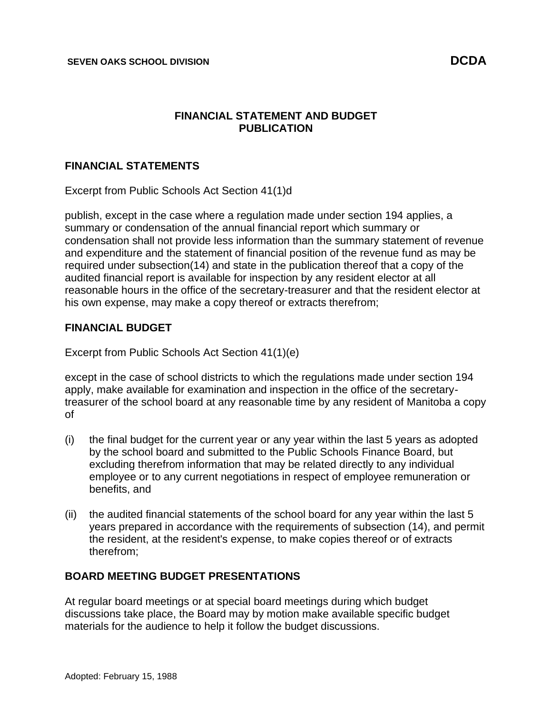## **FINANCIAL STATEMENT AND BUDGET PUBLICATION**

## **FINANCIAL STATEMENTS**

Excerpt from Public Schools Act Section 41(1)d

publish, except in the case where a regulation made under section 194 applies, a summary or condensation of the annual financial report which summary or condensation shall not provide less information than the summary statement of revenue and expenditure and the statement of financial position of the revenue fund as may be required under subsection(14) and state in the publication thereof that a copy of the audited financial report is available for inspection by any resident elector at all reasonable hours in the office of the secretary-treasurer and that the resident elector at his own expense, may make a copy thereof or extracts therefrom;

## **FINANCIAL BUDGET**

Excerpt from Public Schools Act Section 41(1)(e)

except in the case of school districts to which the regulations made under section 194 apply, make available for examination and inspection in the office of the secretarytreasurer of the school board at any reasonable time by any resident of Manitoba a copy of

- (i) the final budget for the current year or any year within the last 5 years as adopted by the school board and submitted to the Public Schools Finance Board, but excluding therefrom information that may be related directly to any individual employee or to any current negotiations in respect of employee remuneration or benefits, and
- (ii) the audited financial statements of the school board for any year within the last 5 years prepared in accordance with the requirements of subsection (14), and permit the resident, at the resident's expense, to make copies thereof or of extracts therefrom;

## **BOARD MEETING BUDGET PRESENTATIONS**

At regular board meetings or at special board meetings during which budget discussions take place, the Board may by motion make available specific budget materials for the audience to help it follow the budget discussions.